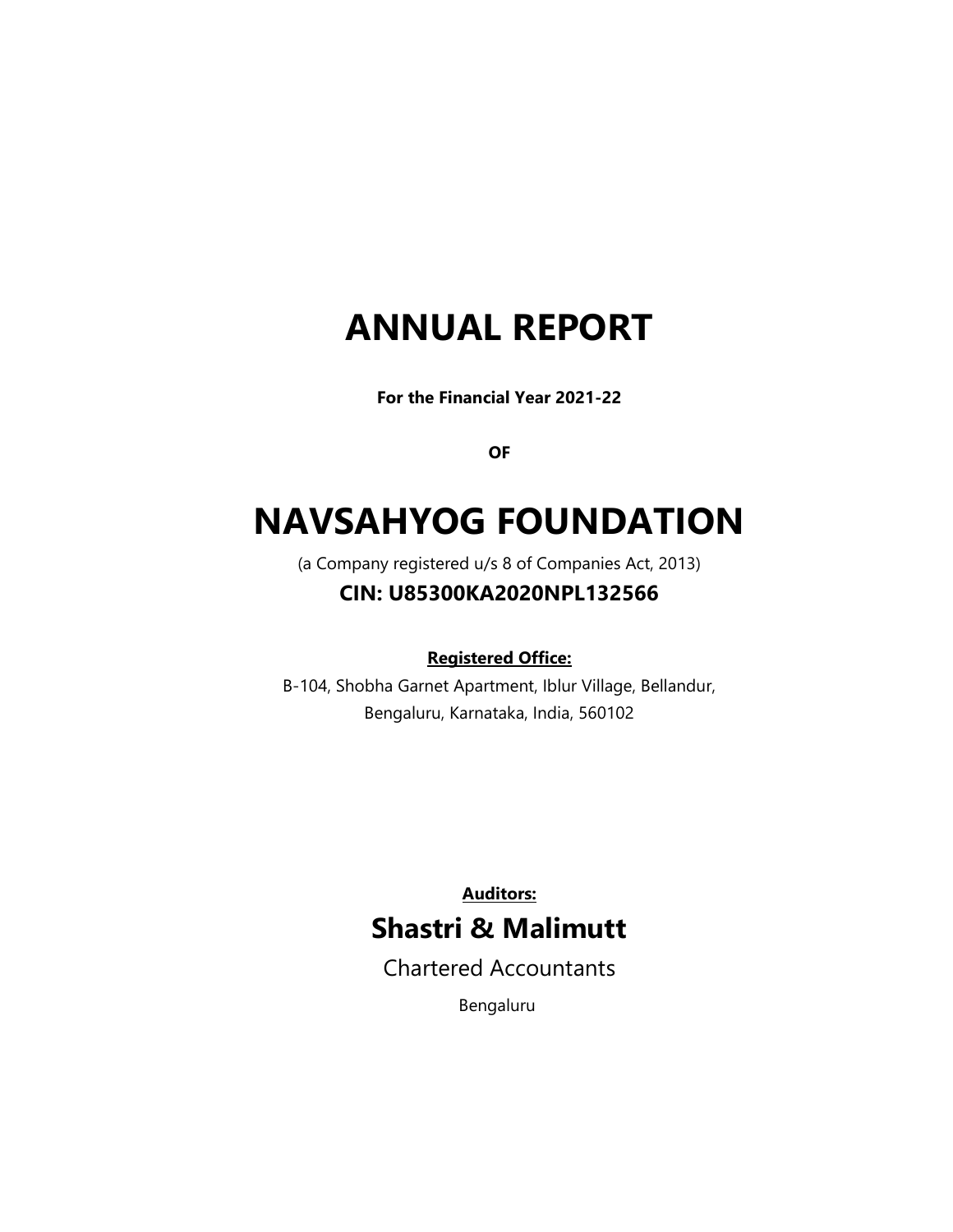# ANNUAL REPORT

For the Financial Year 2021-22

OF

# NAVSAHYOG FOUNDATION

(a Company registered u/s 8 of Companies Act, 2013)

# CIN: U85300KA2020NPL132566

# Registered Office:

B-104, Shobha Garnet Apartment, Iblur Village, Bellandur, Bengaluru, Karnataka, India, 560102

> Auditors: Shastri & Malimutt

Chartered Accountants

Bengaluru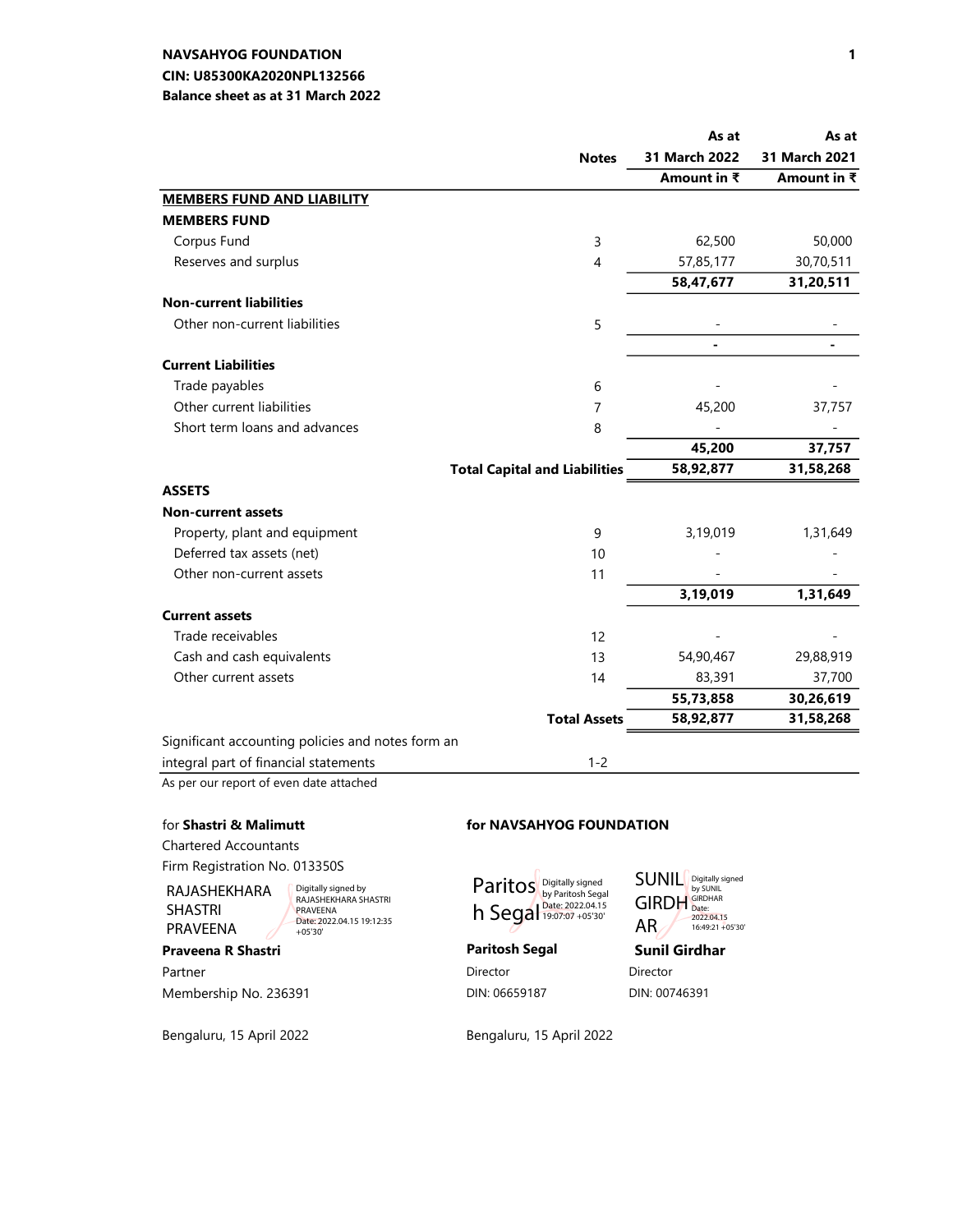# CIN: U85300KA2020NPL132566 NAVSAHYOG FOUNDATION

#### Balance sheet as at 31 March 2022

|                                                   |                                      | As at         | As at         |
|---------------------------------------------------|--------------------------------------|---------------|---------------|
|                                                   | <b>Notes</b>                         | 31 March 2022 | 31 March 2021 |
|                                                   |                                      | Amount in ₹   | Amount in ₹   |
| <b>MEMBERS FUND AND LIABILITY</b>                 |                                      |               |               |
| <b>MEMBERS FUND</b>                               |                                      |               |               |
| Corpus Fund                                       | 3                                    | 62,500        | 50,000        |
| Reserves and surplus                              | $\overline{4}$                       | 57,85,177     | 30,70,511     |
|                                                   |                                      | 58,47,677     | 31,20,511     |
| <b>Non-current liabilities</b>                    |                                      |               |               |
| Other non-current liabilities                     | 5                                    |               |               |
|                                                   |                                      |               |               |
| <b>Current Liabilities</b>                        |                                      |               |               |
| Trade payables                                    | 6                                    |               |               |
| Other current liabilities                         | $\overline{7}$                       | 45,200        | 37,757        |
| Short term loans and advances                     | 8                                    |               |               |
|                                                   |                                      | 45,200        | 37,757        |
|                                                   | <b>Total Capital and Liabilities</b> | 58,92,877     | 31,58,268     |
| <b>ASSETS</b>                                     |                                      |               |               |
| <b>Non-current assets</b>                         |                                      |               |               |
| Property, plant and equipment                     | 9                                    | 3,19,019      | 1,31,649      |
| Deferred tax assets (net)                         | 10                                   |               |               |
| Other non-current assets                          | 11                                   |               |               |
|                                                   |                                      | 3,19,019      | 1,31,649      |
| <b>Current assets</b>                             |                                      |               |               |
| Trade receivables                                 | 12                                   |               |               |
| Cash and cash equivalents                         | 13                                   | 54,90,467     | 29,88,919     |
| Other current assets                              | 14                                   | 83,391        | 37,700        |
|                                                   |                                      | 55,73,858     | 30,26,619     |
|                                                   | <b>Total Assets</b>                  | 58,92,877     | 31,58,268     |
| Significant accounting policies and notes form an |                                      |               |               |
| integral part of financial statements             | $1 - 2$                              |               |               |

As per our report of even date attached

#### for Shastri & Malimutt for NAVSAHYOG FOUNDATION

Chartered Accountants Firm Registration No. 013350S

RAJASHEKHARA SHASTRI PRAVEENA

Digitally signed by RAJASHEKHARA SHASTRI PRAVEENA Date: 2022.04.15 19:12:35 +05'30'

Partner Director Director Director Director Director Director Membership No. 236391 **DIN: 06659187** DIN: 00746391

Paritos h Segal Digitally signed<br>by Paritosh Segal<br>Date: 2022.04.15<br>19:07:07 +05'30'

Praveena R Shastri **Paritosh Segal** Sunil Girdhar GIRDH AR Digitally signed by SUNIL GIRDHAR Date: 2022.04.15 16:49:21 +05'30'

SUNIL

Bengaluru, 15 April 2022 Bengaluru, 15 April 2022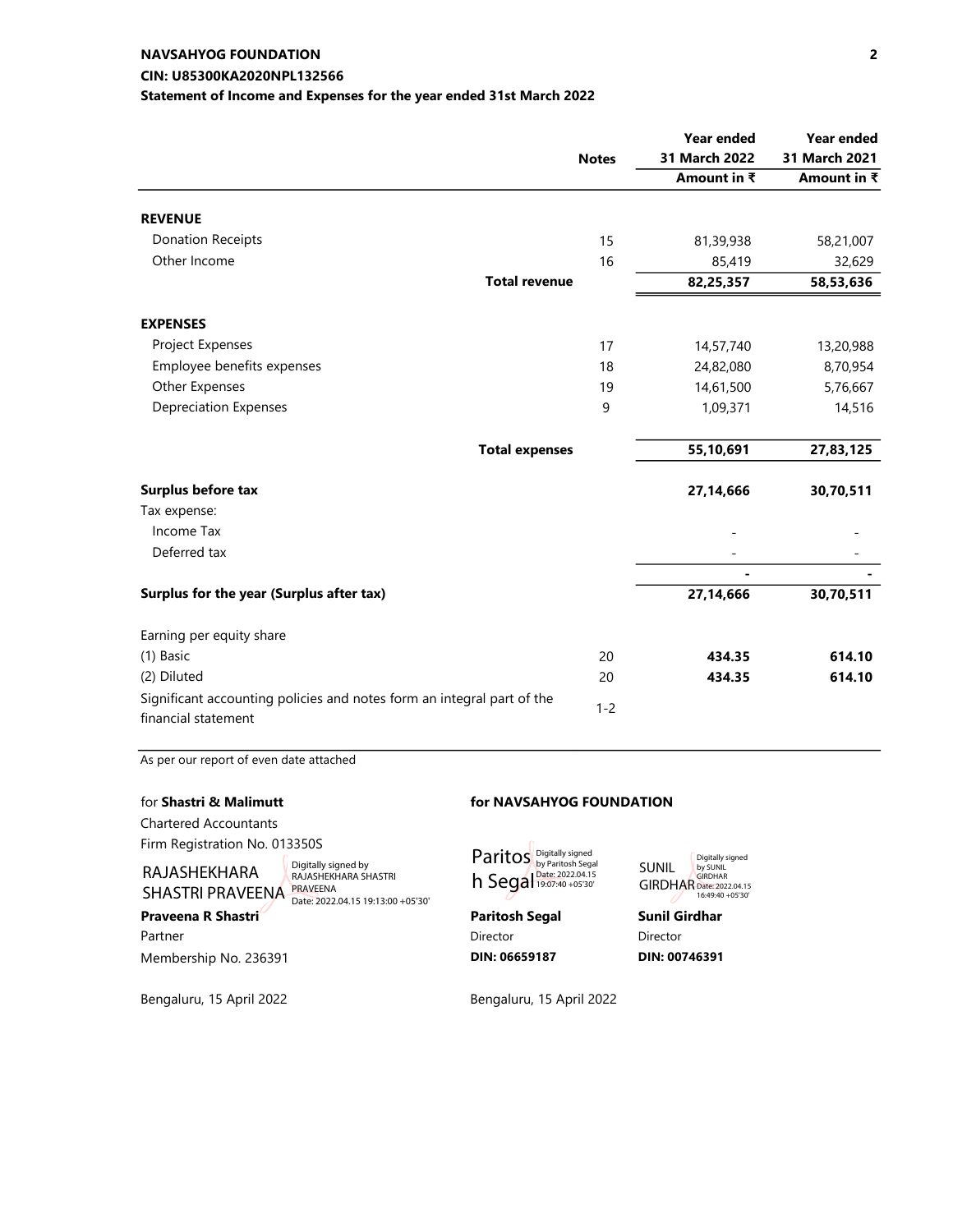### CIN: U85300KA2020NPL132566 NAVSAHYOG FOUNDATION

#### Statement of Income and Expenses for the year ended 31st March 2022

|                                                                        |              | <b>Year ended</b> | Year ended    |
|------------------------------------------------------------------------|--------------|-------------------|---------------|
|                                                                        | <b>Notes</b> | 31 March 2022     | 31 March 2021 |
|                                                                        |              | Amount in ₹       | Amount in ₹   |
| <b>REVENUE</b>                                                         |              |                   |               |
| <b>Donation Receipts</b>                                               | 15           | 81,39,938         | 58,21,007     |
| Other Income                                                           | 16           | 85,419            | 32,629        |
| <b>Total revenue</b>                                                   |              | 82,25,357         | 58,53,636     |
| <b>EXPENSES</b>                                                        |              |                   |               |
| Project Expenses                                                       | 17           | 14,57,740         | 13,20,988     |
| Employee benefits expenses                                             | 18           | 24,82,080         | 8,70,954      |
| Other Expenses                                                         | 19           | 14,61,500         | 5,76,667      |
| <b>Depreciation Expenses</b>                                           | 9            | 1,09,371          | 14,516        |
| <b>Total expenses</b>                                                  |              | 55,10,691         | 27,83,125     |
| Surplus before tax                                                     |              | 27,14,666         | 30,70,511     |
| Tax expense:                                                           |              |                   |               |
| Income Tax                                                             |              |                   |               |
| Deferred tax                                                           |              |                   |               |
|                                                                        |              |                   |               |
| Surplus for the year (Surplus after tax)                               |              | 27,14,666         | 30,70,511     |
| Earning per equity share                                               |              |                   |               |
| (1) Basic                                                              | 20           | 434.35            | 614.10        |
| (2) Diluted                                                            | 20           | 434.35            | 614.10        |
| Significant accounting policies and notes form an integral part of the | $1 - 2$      |                   |               |
| financial statement                                                    |              |                   |               |

As per our report of even date attached

| for Shastri & Malimutt                  |                                                                                                     |                                                      | for NAVSAHYOG FOUNDATION                                                                     |  |  |
|-----------------------------------------|-----------------------------------------------------------------------------------------------------|------------------------------------------------------|----------------------------------------------------------------------------------------------|--|--|
| <b>Chartered Accountants</b>            |                                                                                                     |                                                      |                                                                                              |  |  |
| Firm Registration No. 013350S           |                                                                                                     |                                                      |                                                                                              |  |  |
| RAJASHEKHARA<br><b>SHASTRI PRAVEENA</b> | Digitally signed by<br>RAJASHEKHARA SHASTRI<br><b>PRAVEENA</b><br>Date: 2022.04.15 19:13:00 +05'30' | Paritos Digitally signed<br>h Segal Date: 2022.04.15 | Digitally<br><b>SUNIL</b><br>by SUNI<br><b>GIRDHA</b><br><b>GIRDHAR</b> Date: 20<br>16:49:40 |  |  |
| Praveena R Shastri                      |                                                                                                     | <b>Paritosh Segal</b>                                | <b>Sunil Girdhar</b>                                                                         |  |  |
| Partner                                 |                                                                                                     | Director                                             | Director                                                                                     |  |  |
| Membership No. 236391                   |                                                                                                     | DIN: 06659187                                        | DIN: 00746391                                                                                |  |  |
|                                         |                                                                                                     |                                                      |                                                                                              |  |  |

Bengaluru, 15 April 2022 Bengaluru, 15 April 2022

Digitally signed by SUNIL GIRDHAR Date: 2022.04.15 16:49:40 +05'30'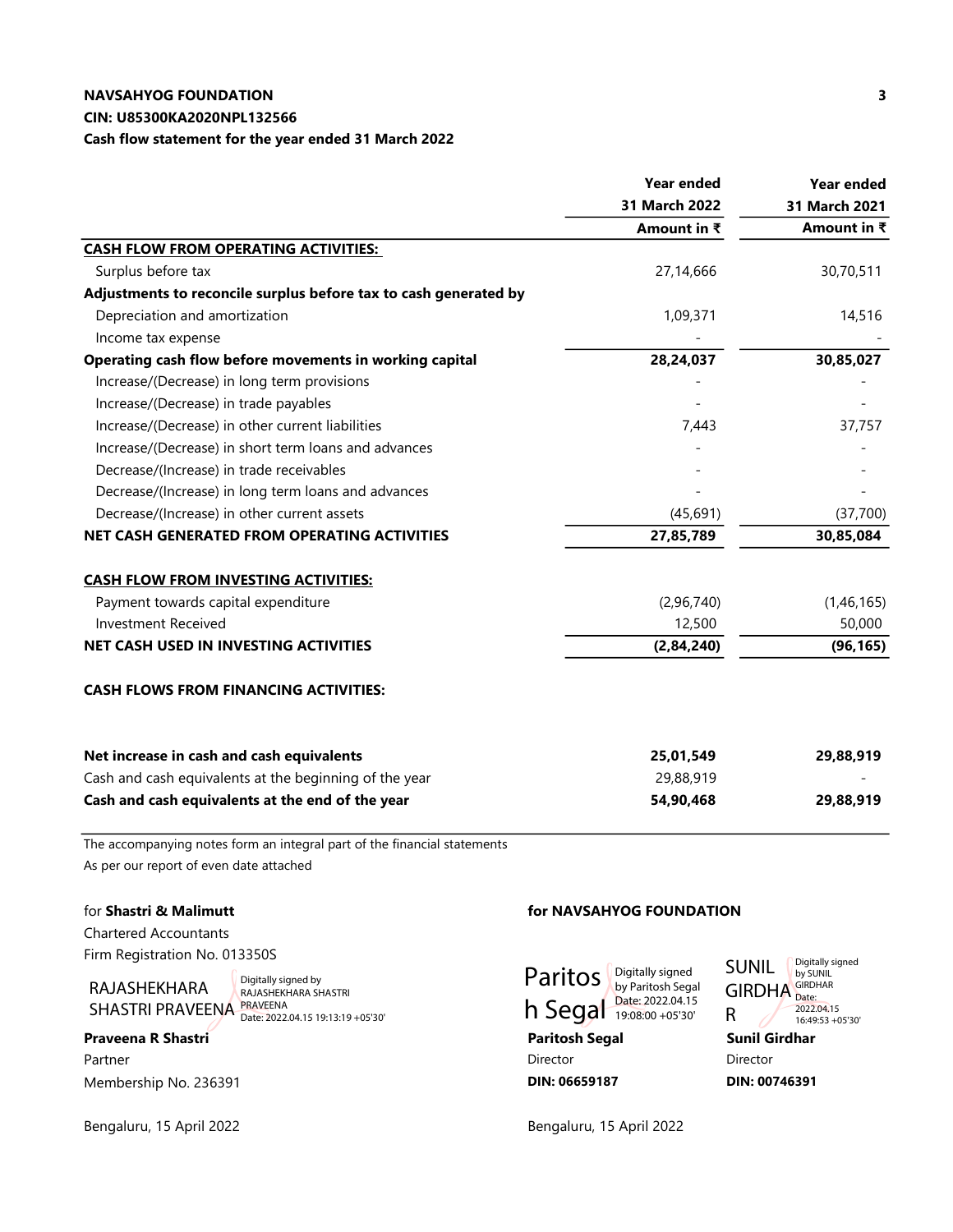#### CIN: U85300KA2020NPL132566

Cash flow statement for the year ended 31 March 2022

|                                                                  | <b>Year ended</b> | <b>Year ended</b> |
|------------------------------------------------------------------|-------------------|-------------------|
|                                                                  | 31 March 2022     | 31 March 2021     |
|                                                                  | Amount in ₹       | Amount in ₹       |
| <b>CASH FLOW FROM OPERATING ACTIVITIES:</b>                      |                   |                   |
| Surplus before tax                                               | 27,14,666         | 30,70,511         |
| Adjustments to reconcile surplus before tax to cash generated by |                   |                   |
| Depreciation and amortization                                    | 1,09,371          | 14,516            |
| Income tax expense                                               |                   |                   |
| Operating cash flow before movements in working capital          | 28,24,037         | 30,85,027         |
| Increase/(Decrease) in long term provisions                      |                   |                   |
| Increase/(Decrease) in trade payables                            |                   |                   |
| Increase/(Decrease) in other current liabilities                 | 7,443             | 37,757            |
| Increase/(Decrease) in short term loans and advances             |                   |                   |
| Decrease/(Increase) in trade receivables                         |                   |                   |
| Decrease/(Increase) in long term loans and advances              |                   |                   |
| Decrease/(Increase) in other current assets                      | (45,691)          | (37,700)          |
| NET CASH GENERATED FROM OPERATING ACTIVITIES                     | 27,85,789         | 30,85,084         |
| <b>CASH FLOW FROM INVESTING ACTIVITIES:</b>                      |                   |                   |
| Payment towards capital expenditure                              | (2,96,740)        | (1,46,165)        |
| <b>Investment Received</b>                                       | 12,500            | 50,000            |
| NET CASH USED IN INVESTING ACTIVITIES                            | (2, 84, 240)      | (96, 165)         |
| <b>CASH FLOWS FROM FINANCING ACTIVITIES:</b>                     |                   |                   |
| Net increase in cash and cash equivalents                        | 25,01,549         | 29,88,919         |
| Cash and cash equivalents at the beginning of the year           | 29,88,919         |                   |
| Cash and cash equivalents at the end of the year                 | 54,90,468         | 29,88,919         |

The accompanying notes form an integral part of the financial statements As per our report of even date attached

Chartered Accountants Firm Registration No. 013350S

# RAJASHEKHARA SHASTRI PRAVEENA PRAVEENA

Digitally signed by RAJASHEKHARA SHASTRI Date: 2022.04.15 19:13:19 +05'30'

# Praveena R Shastri **Praveena R Shastri** Paritosh Segal Paritosh Segal Sunil Girdhar Partner Director Director Director Director Director Director Director Director Director Director Director Director Membership No. 236391 **DIN: 06659187** DIN: 06659187 DIN: 00746391

Bengaluru, 15 April 2022 **Bengaluru, 15 April 2022** 

#### for Shastri & Malimutt for NAVSAHYOG FOUNDATION



SUNIL GIRDHA<sup>GIRDHAR</sup> R Digitally signed by SUNIL 2022.04.15 16:49:53 +05'30'

3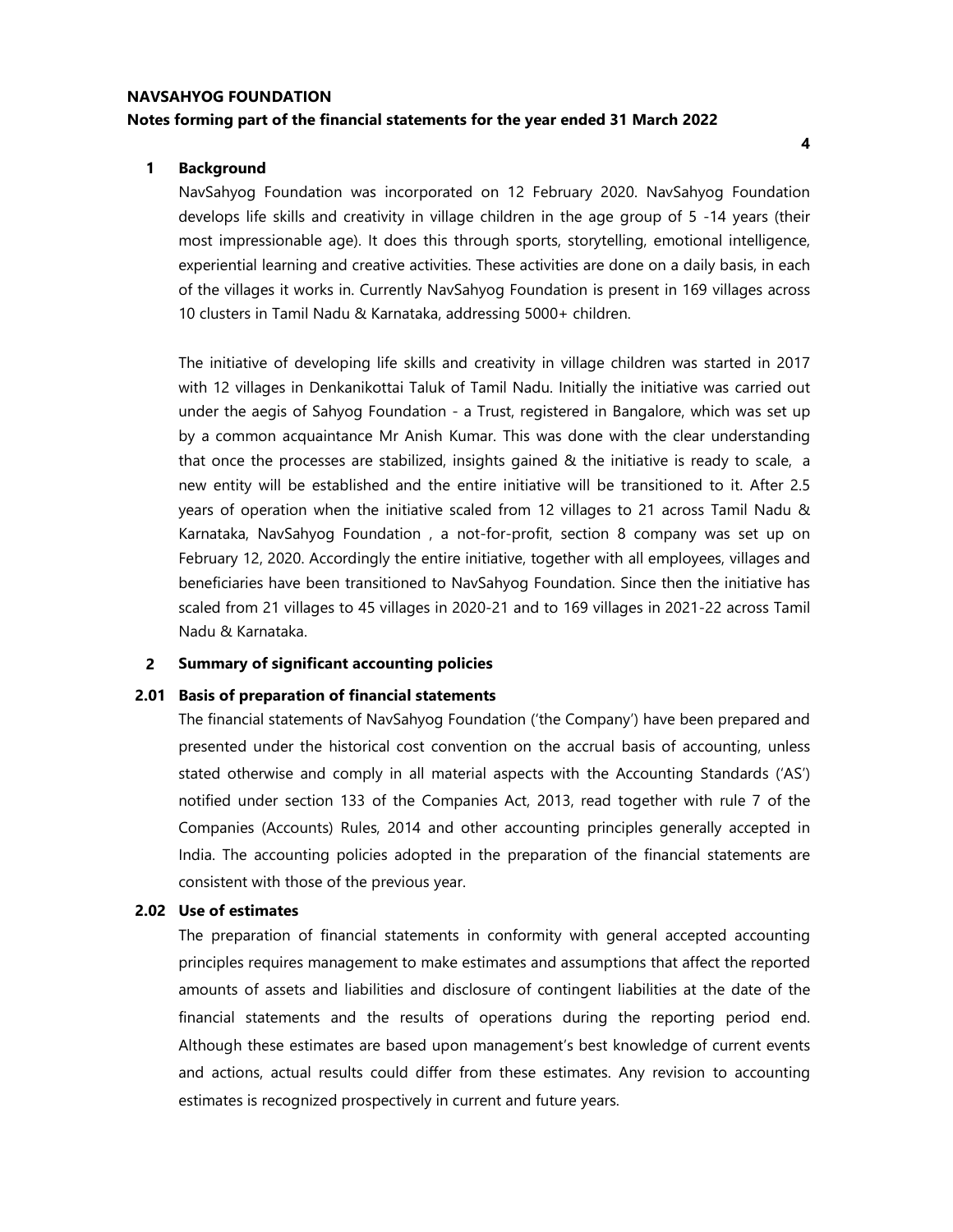# NAVSAHYOG FOUNDATION Notes forming part of the financial statements for the year ended 31 March 2022

#### 1 Background

NavSahyog Foundation was incorporated on 12 February 2020. NavSahyog Foundation develops life skills and creativity in village children in the age group of 5 -14 years (their most impressionable age). It does this through sports, storytelling, emotional intelligence, experiential learning and creative activities. These activities are done on a daily basis, in each of the villages it works in. Currently NavSahyog Foundation is present in 169 villages across 10 clusters in Tamil Nadu & Karnataka, addressing 5000+ children.

The initiative of developing life skills and creativity in village children was started in 2017 with 12 villages in Denkanikottai Taluk of Tamil Nadu. Initially the initiative was carried out under the aegis of Sahyog Foundation - a Trust, registered in Bangalore, which was set up by a common acquaintance Mr Anish Kumar. This was done with the clear understanding that once the processes are stabilized, insights gained & the initiative is ready to scale, a new entity will be established and the entire initiative will be transitioned to it. After 2.5 years of operation when the initiative scaled from 12 villages to 21 across Tamil Nadu & Karnataka, NavSahyog Foundation , a not-for-profit, section 8 company was set up on February 12, 2020. Accordingly the entire initiative, together with all employees, villages and beneficiaries have been transitioned to NavSahyog Foundation. Since then the initiative has scaled from 21 villages to 45 villages in 2020-21 and to 169 villages in 2021-22 across Tamil Nadu & Karnataka.

#### 2 Summary of significant accounting policies

#### 2.01 Basis of preparation of financial statements

The financial statements of NavSahyog Foundation ('the Company') have been prepared and presented under the historical cost convention on the accrual basis of accounting, unless stated otherwise and comply in all material aspects with the Accounting Standards ('AS') notified under section 133 of the Companies Act, 2013, read together with rule 7 of the Companies (Accounts) Rules, 2014 and other accounting principles generally accepted in India. The accounting policies adopted in the preparation of the financial statements are consistent with those of the previous year.

#### 2.02 Use of estimates

The preparation of financial statements in conformity with general accepted accounting principles requires management to make estimates and assumptions that affect the reported amounts of assets and liabilities and disclosure of contingent liabilities at the date of the financial statements and the results of operations during the reporting period end. Although these estimates are based upon management's best knowledge of current events and actions, actual results could differ from these estimates. Any revision to accounting estimates is recognized prospectively in current and future years.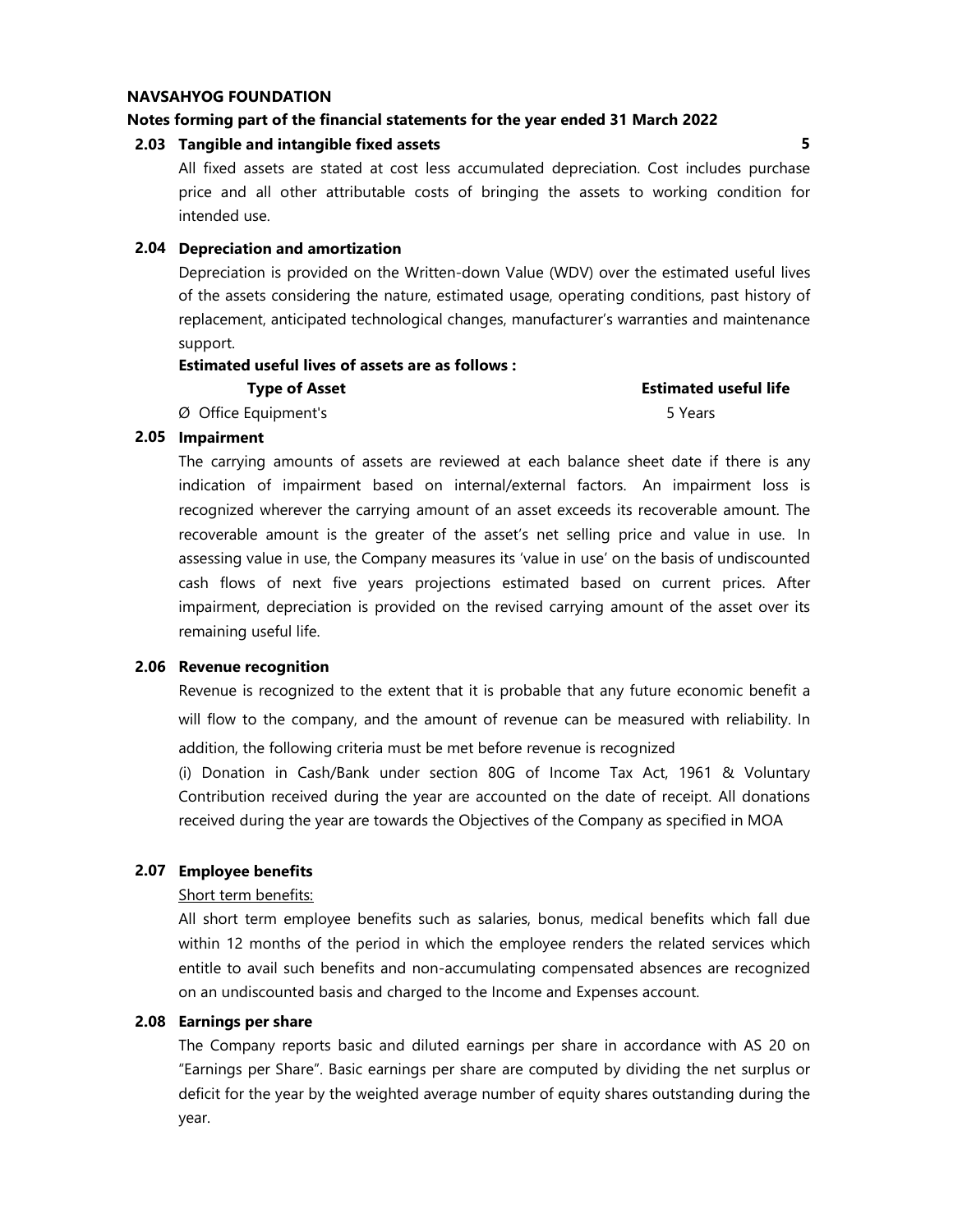#### Notes forming part of the financial statements for the year ended 31 March 2022

#### 2.03 Tangible and intangible fixed assets 5

All fixed assets are stated at cost less accumulated depreciation. Cost includes purchase price and all other attributable costs of bringing the assets to working condition for intended use.

#### 2.04 Depreciation and amortization

Depreciation is provided on the Written-down Value (WDV) over the estimated useful lives of the assets considering the nature, estimated usage, operating conditions, past history of replacement, anticipated technological changes, manufacturer's warranties and maintenance support.

#### Estimated useful lives of assets are as follows :

| <b>Type of Asset</b> | <b>Estimated useful life</b> |
|----------------------|------------------------------|
| Ø Office Equipment's | 5 Years                      |

#### 2.05 Impairment

The carrying amounts of assets are reviewed at each balance sheet date if there is any indication of impairment based on internal/external factors. An impairment loss is recognized wherever the carrying amount of an asset exceeds its recoverable amount. The recoverable amount is the greater of the asset's net selling price and value in use. In assessing value in use, the Company measures its 'value in use' on the basis of undiscounted cash flows of next five years projections estimated based on current prices. After impairment, depreciation is provided on the revised carrying amount of the asset over its remaining useful life.

#### 2.06 Revenue recognition

Revenue is recognized to the extent that it is probable that any future economic benefit a will flow to the company, and the amount of revenue can be measured with reliability. In addition, the following criteria must be met before revenue is recognized

(i) Donation in Cash/Bank under section 80G of Income Tax Act, 1961 & Voluntary Contribution received during the year are accounted on the date of receipt. All donations received during the year are towards the Objectives of the Company as specified in MOA

#### 2.07 Employee benefits

#### Short term benefits:

All short term employee benefits such as salaries, bonus, medical benefits which fall due within 12 months of the period in which the employee renders the related services which entitle to avail such benefits and non-accumulating compensated absences are recognized on an undiscounted basis and charged to the Income and Expenses account.

#### 2.08 Earnings per share

The Company reports basic and diluted earnings per share in accordance with AS 20 on "Earnings per Share". Basic earnings per share are computed by dividing the net surplus or deficit for the year by the weighted average number of equity shares outstanding during the year.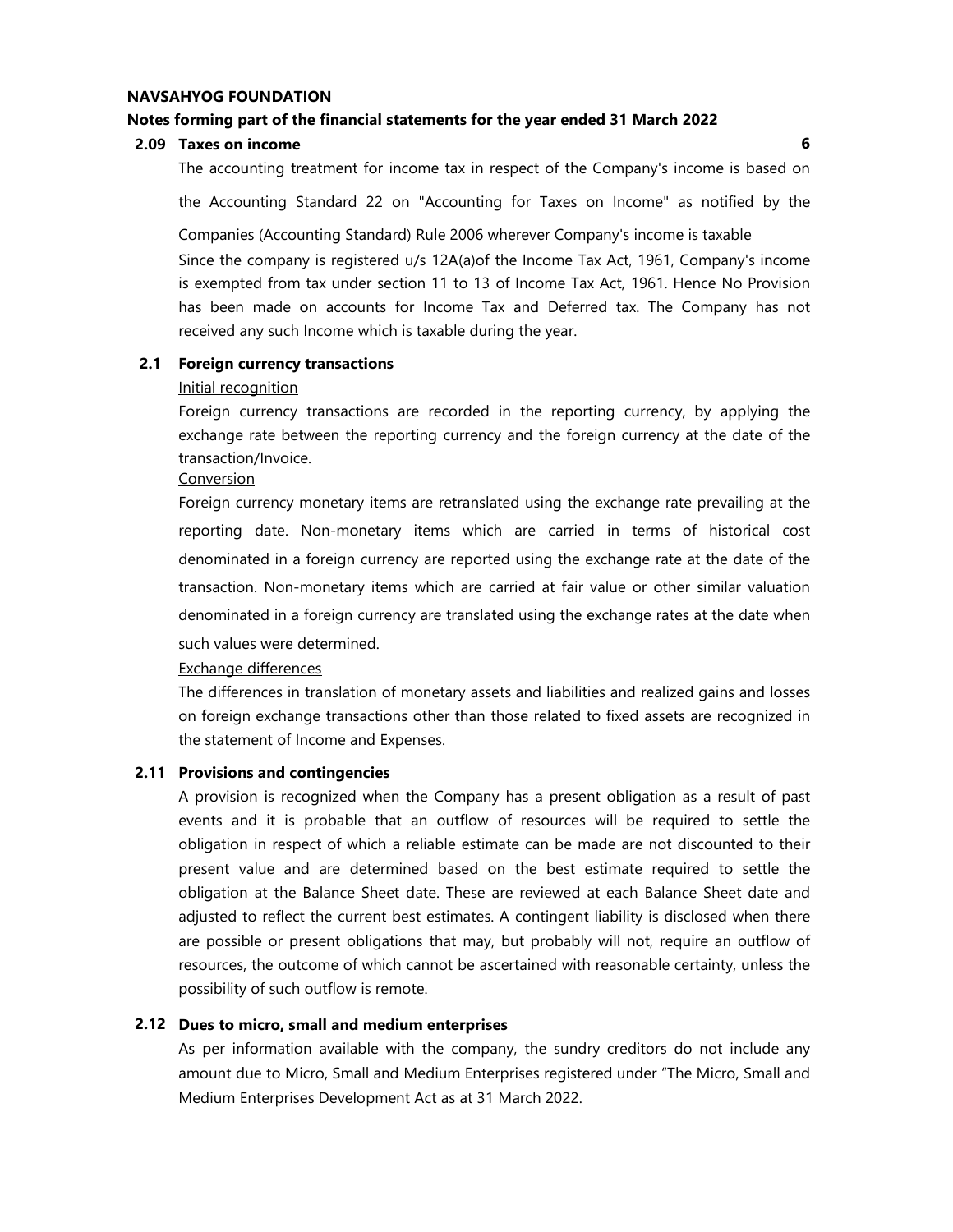#### Notes forming part of the financial statements for the year ended 31 March 2022

#### 2.09 Taxes on income 6

The accounting treatment for income tax in respect of the Company's income is based on

the Accounting Standard 22 on "Accounting for Taxes on Income" as notified by the

Since the company is registered u/s 12A(a)of the Income Tax Act, 1961, Company's income Companies (Accounting Standard) Rule 2006 wherever Company's income is taxable

is exempted from tax under section 11 to 13 of Income Tax Act, 1961. Hence No Provision has been made on accounts for Income Tax and Deferred tax. The Company has not received any such Income which is taxable during the year.

#### 2.1 Foreign currency transactions

#### Initial recognition

Foreign currency transactions are recorded in the reporting currency, by applying the exchange rate between the reporting currency and the foreign currency at the date of the transaction/Invoice.

Conversion

Foreign currency monetary items are retranslated using the exchange rate prevailing at the reporting date. Non-monetary items which are carried in terms of historical cost denominated in a foreign currency are reported using the exchange rate at the date of the transaction. Non-monetary items which are carried at fair value or other similar valuation denominated in a foreign currency are translated using the exchange rates at the date when such values were determined.

#### Exchange differences

The differences in translation of monetary assets and liabilities and realized gains and losses on foreign exchange transactions other than those related to fixed assets are recognized in the statement of Income and Expenses.

#### 2.11 Provisions and contingencies

A provision is recognized when the Company has a present obligation as a result of past events and it is probable that an outflow of resources will be required to settle the obligation in respect of which a reliable estimate can be made are not discounted to their present value and are determined based on the best estimate required to settle the obligation at the Balance Sheet date. These are reviewed at each Balance Sheet date and adjusted to reflect the current best estimates. A contingent liability is disclosed when there are possible or present obligations that may, but probably will not, require an outflow of resources, the outcome of which cannot be ascertained with reasonable certainty, unless the possibility of such outflow is remote.

#### 2.12 Dues to micro, small and medium enterprises

As per information available with the company, the sundry creditors do not include any amount due to Micro, Small and Medium Enterprises registered under "The Micro, Small and Medium Enterprises Development Act as at 31 March 2022.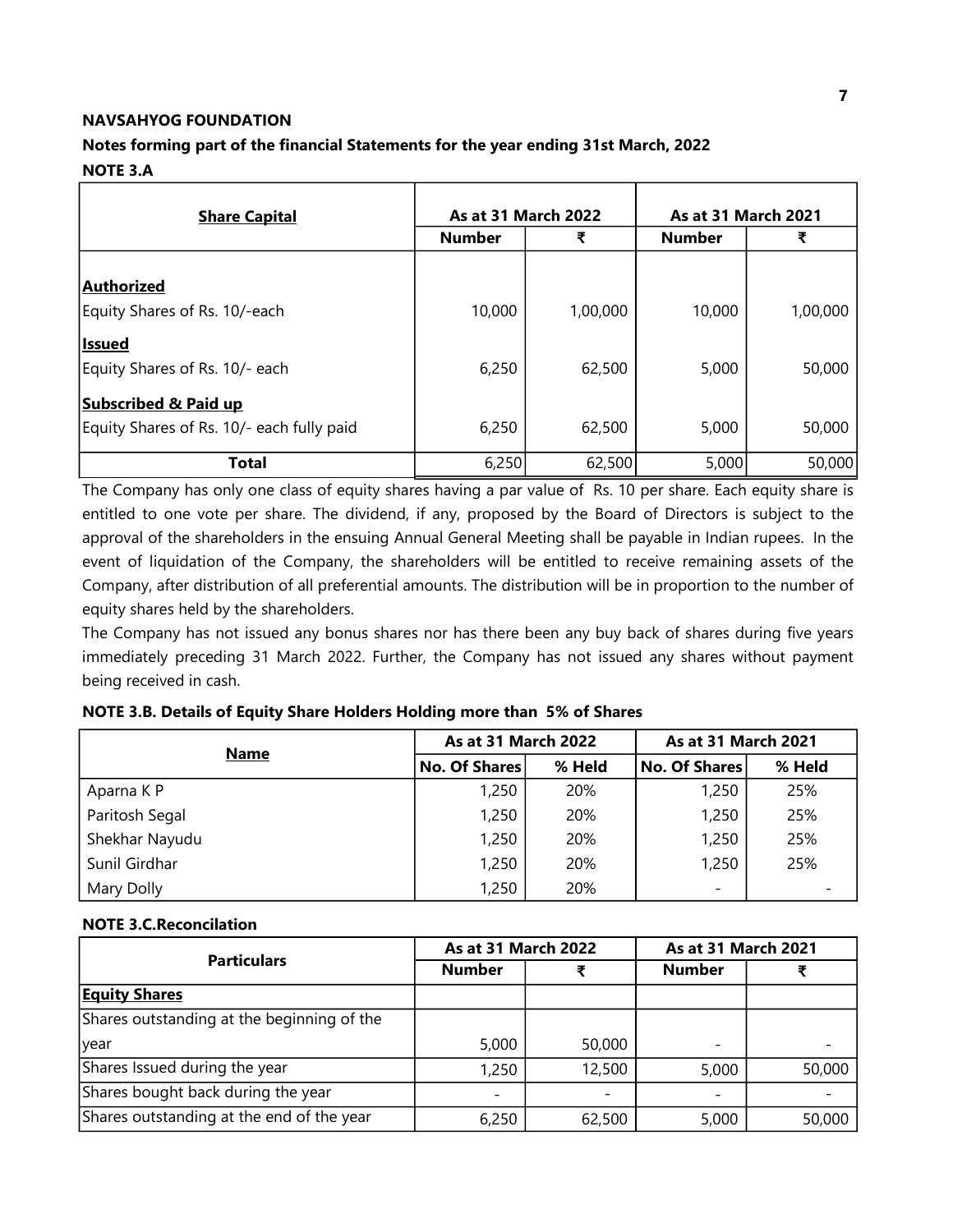# Notes forming part of the financial Statements for the year ending 31st March, 2022

### NOTE 3.A

| <b>Share Capital</b>                      | <b>As at 31 March 2022</b> |          | <b>As at 31 March 2021</b> |          |  |
|-------------------------------------------|----------------------------|----------|----------------------------|----------|--|
|                                           | <b>Number</b>              | ₹        | <b>Number</b>              | ₹        |  |
|                                           |                            |          |                            |          |  |
| Authorized                                |                            |          |                            |          |  |
| Equity Shares of Rs. 10/-each             | 10,000                     | 1,00,000 | 10,000                     | 1,00,000 |  |
| <b>Issued</b>                             |                            |          |                            |          |  |
| Equity Shares of Rs. 10/- each            | 6,250                      | 62,500   | 5,000                      | 50,000   |  |
| <b>Subscribed &amp; Paid up</b>           |                            |          |                            |          |  |
| Equity Shares of Rs. 10/- each fully paid | 6,250                      | 62,500   | 5,000                      | 50,000   |  |
| <b>Total</b>                              | 6,250                      | 62,500   | 5,000                      | 50,000   |  |

The Company has only one class of equity shares having a par value of Rs. 10 per share. Each equity share is entitled to one vote per share. The dividend, if any, proposed by the Board of Directors is subject to the approval of the shareholders in the ensuing Annual General Meeting shall be payable in Indian rupees. In the event of liquidation of the Company, the shareholders will be entitled to receive remaining assets of the Company, after distribution of all preferential amounts. The distribution will be in proportion to the number of equity shares held by the shareholders.

The Company has not issued any bonus shares nor has there been any buy back of shares during five years immediately preceding 31 March 2022. Further, the Company has not issued any shares without payment being received in cash.

| <b>Name</b>    | <b>As at 31 March 2022</b> |        | As at 31 March 2021 |        |  |
|----------------|----------------------------|--------|---------------------|--------|--|
|                | No. Of Shares              | % Held | No. Of Shares       | % Held |  |
| Aparna K P     | 1,250                      | 20%    | 1,250               | 25%    |  |
| Paritosh Segal | 1,250                      | 20%    | 1,250               | 25%    |  |
| Shekhar Nayudu | 1,250                      | 20%    | 1,250               | 25%    |  |
| Sunil Girdhar  | 1,250                      | 20%    | 1,250               | 25%    |  |
| Mary Dolly     | 1,250                      | 20%    | -                   |        |  |

### NOTE 3.B. Details of Equity Share Holders Holding more than 5% of Shares

#### NOTE 3.C.Reconcilation

| <b>Particulars</b>                         | <b>As at 31 March 2022</b> |        |                          | As at 31 March 2021 |  |
|--------------------------------------------|----------------------------|--------|--------------------------|---------------------|--|
|                                            | <b>Number</b>              |        | <b>Number</b>            |                     |  |
| <b>Equity Shares</b>                       |                            |        |                          |                     |  |
| Shares outstanding at the beginning of the |                            |        |                          |                     |  |
| <b>Vear</b>                                | 5,000                      | 50,000 | $\overline{\phantom{0}}$ |                     |  |
| Shares Issued during the year              | 1,250                      | 12,500 | 5,000                    | 50,000              |  |
| Shares bought back during the year         |                            |        |                          |                     |  |
| Shares outstanding at the end of the year  | 6,250                      | 62,500 | 5,000                    | 50,000              |  |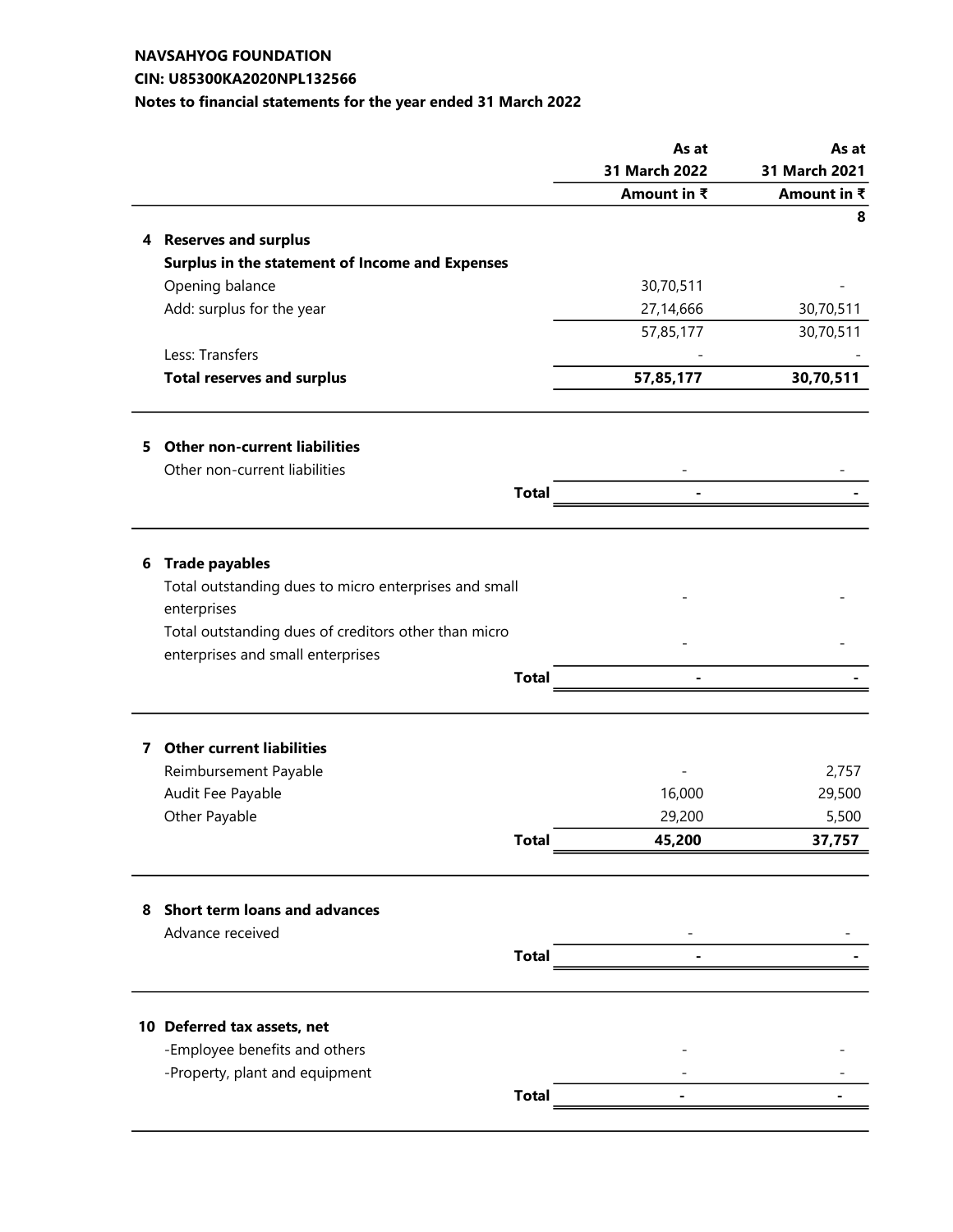### CIN: U85300KA2020NPL132566

# Notes to financial statements for the year ended 31 March 2022

|    |                                                       |              | As at                    | As at         |
|----|-------------------------------------------------------|--------------|--------------------------|---------------|
|    |                                                       |              | 31 March 2022            | 31 March 2021 |
|    |                                                       |              | Amount in ₹              | Amount in ₹   |
|    |                                                       |              |                          | 8             |
|    | 4 Reserves and surplus                                |              |                          |               |
|    | Surplus in the statement of Income and Expenses       |              |                          |               |
|    | Opening balance                                       |              | 30,70,511                |               |
|    | Add: surplus for the year                             |              | 27,14,666                | 30,70,511     |
|    |                                                       |              | 57,85,177                | 30,70,511     |
|    | Less: Transfers                                       |              |                          |               |
|    | <b>Total reserves and surplus</b>                     |              | 57,85,177                | 30,70,511     |
| 5. | <b>Other non-current liabilities</b>                  |              |                          |               |
|    | Other non-current liabilities                         |              |                          |               |
|    |                                                       | <b>Total</b> | $\overline{\phantom{0}}$ |               |
|    |                                                       |              |                          |               |
| 6  | <b>Trade payables</b>                                 |              |                          |               |
|    | Total outstanding dues to micro enterprises and small |              |                          |               |
|    | enterprises                                           |              |                          |               |
|    | Total outstanding dues of creditors other than micro  |              |                          |               |
|    | enterprises and small enterprises                     |              |                          |               |
|    |                                                       | <b>Total</b> |                          |               |
|    |                                                       |              |                          |               |
| 7  | <b>Other current liabilities</b>                      |              |                          |               |
|    | Reimbursement Payable                                 |              |                          | 2,757         |
|    | Audit Fee Payable                                     |              | 16,000                   | 29,500        |
|    | Other Payable                                         |              | 29,200                   | 5,500         |
|    |                                                       | <b>Total</b> | 45,200                   | 37,757        |
|    |                                                       |              |                          |               |
| 8  | Short term loans and advances                         |              |                          |               |
|    | Advance received                                      |              |                          |               |
|    |                                                       | <b>Total</b> |                          |               |
|    | 10 Deferred tax assets, net                           |              |                          |               |
|    | -Employee benefits and others                         |              |                          |               |
|    | -Property, plant and equipment                        |              |                          |               |
|    |                                                       | <b>Total</b> |                          |               |
|    |                                                       |              |                          |               |
|    |                                                       |              |                          |               |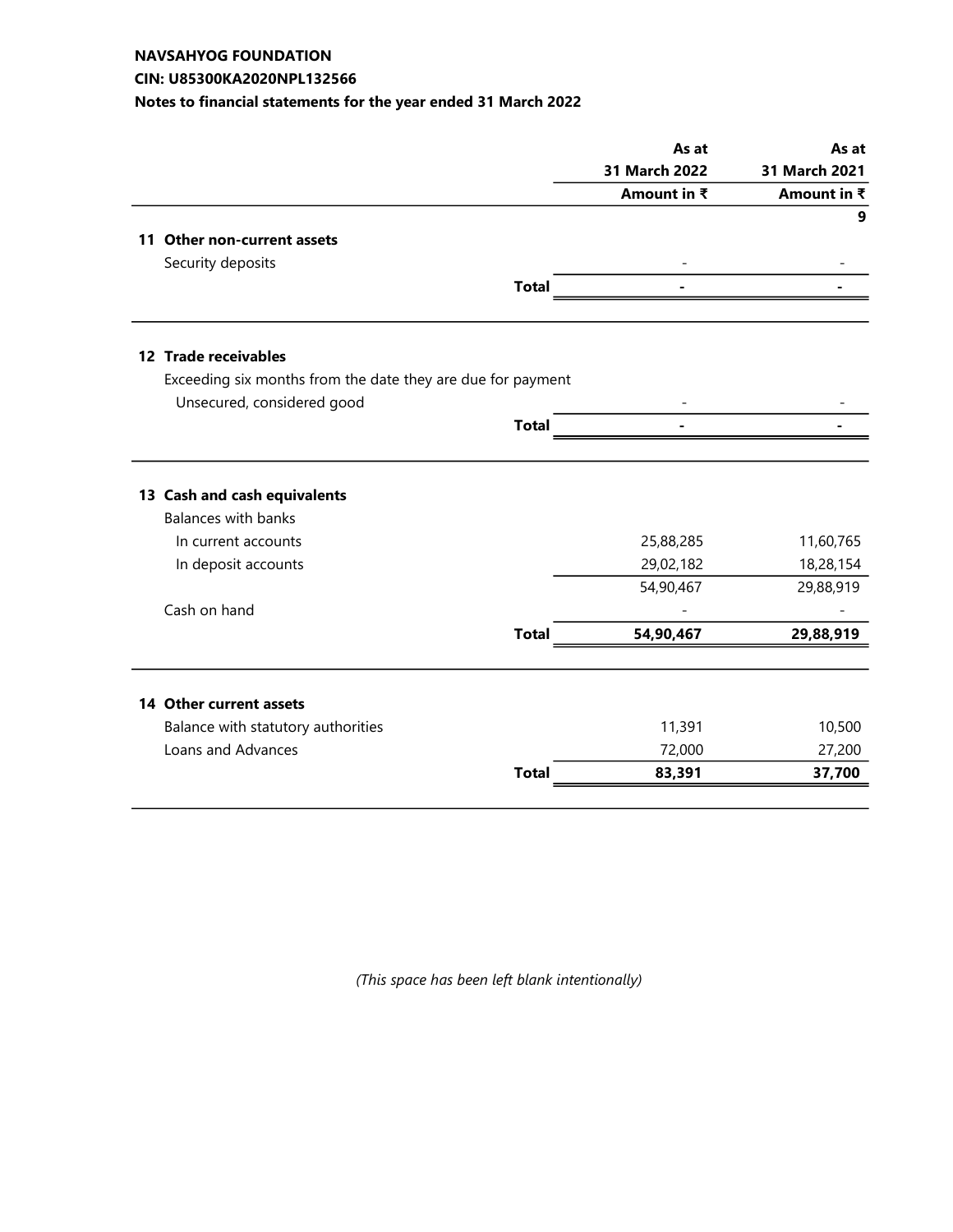#### CIN: U85300KA2020NPL132566

# Notes to financial statements for the year ended 31 March 2022

|                                                                                   |              | As at                  | As at                  |
|-----------------------------------------------------------------------------------|--------------|------------------------|------------------------|
|                                                                                   |              | 31 March 2022          | 31 March 2021          |
|                                                                                   |              | Amount in ₹            | Amount in ₹            |
|                                                                                   |              |                        | 9                      |
| 11 Other non-current assets                                                       |              |                        |                        |
| Security deposits                                                                 |              |                        |                        |
|                                                                                   | <b>Total</b> |                        |                        |
| 12 Trade receivables                                                              |              |                        |                        |
| Exceeding six months from the date they are due for payment                       |              |                        |                        |
| Unsecured, considered good                                                        |              |                        |                        |
|                                                                                   | <b>Total</b> |                        |                        |
|                                                                                   |              |                        |                        |
| 13 Cash and cash equivalents<br><b>Balances with banks</b><br>In current accounts |              | 25,88,285<br>29,02,182 | 11,60,765<br>18,28,154 |
| In deposit accounts                                                               |              | 54,90,467              | 29,88,919              |
| Cash on hand                                                                      |              |                        |                        |
|                                                                                   | <b>Total</b> | 54,90,467              | 29,88,919              |
|                                                                                   |              |                        |                        |
| 14 Other current assets                                                           |              |                        |                        |
| Balance with statutory authorities<br>Loans and Advances                          |              | 11,391<br>72,000       | 10,500<br>27,200       |

(This space has been left blank intentionally)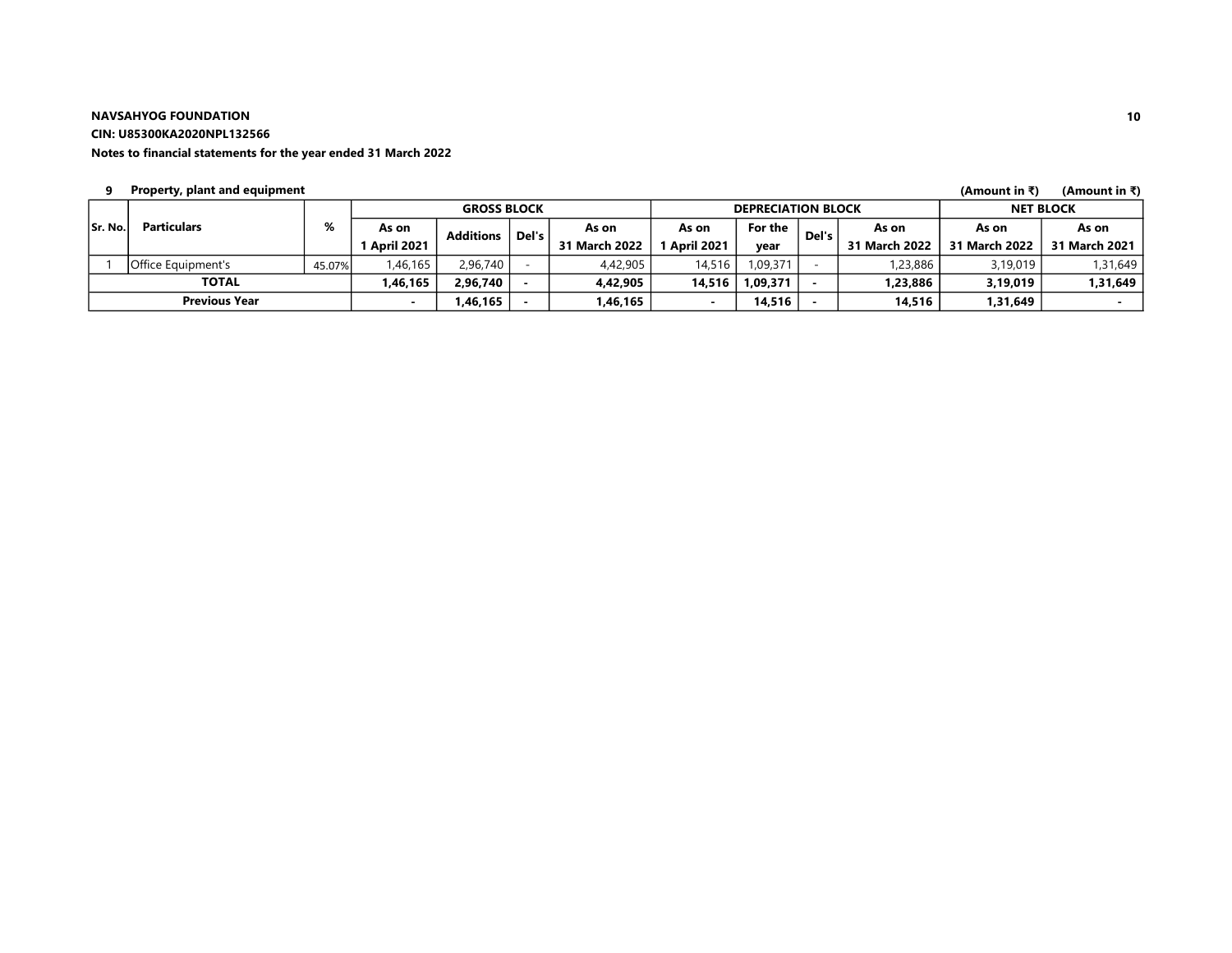CIN: U85300KA2020NPL132566

#### Notes to financial statements for the year ended 31 March 2022

#### 9 (Amount in ₹) (Amount in ₹) Property, plant and equipment

|         |                      |        | <b>GROSS BLOCK</b>  |                  |         | <b>DEPRECIATION BLOCK</b> |                   |          |       | <b>NET BLOCK</b> |               |               |
|---------|----------------------|--------|---------------------|------------------|---------|---------------------------|-------------------|----------|-------|------------------|---------------|---------------|
| Sr. No. | <b>Particulars</b>   | %      | As on               | <b>Additions</b> | Del's i | As on                     | As on             | For the  | Del's | As on            | As on         | As on         |
|         |                      |        | <b>1 April 2021</b> |                  |         | 31 March 2022             | <b>April 2021</b> | vear     |       | 31 March 2022    | 31 March 2022 | 31 March 2021 |
|         | Office Equipment's   | 45.07% | 1,46,165            | 2,96,740         |         | 4,42,905                  | 14,516            | 1,09,371 |       | 1,23,886         | 3,19,019      | 1,31,649      |
|         | <b>TOTAL</b>         |        | I,46,165            | 2,96,740         |         | 4,42,905                  | 14,516            | 1,09,371 |       | 1,23,886         | 3,19,019      | 1,31,649      |
|         | <b>Previous Year</b> |        |                     | ,46,165          |         | .46,165                   |                   | 14,516   |       | 14.516           | 1,31,649      |               |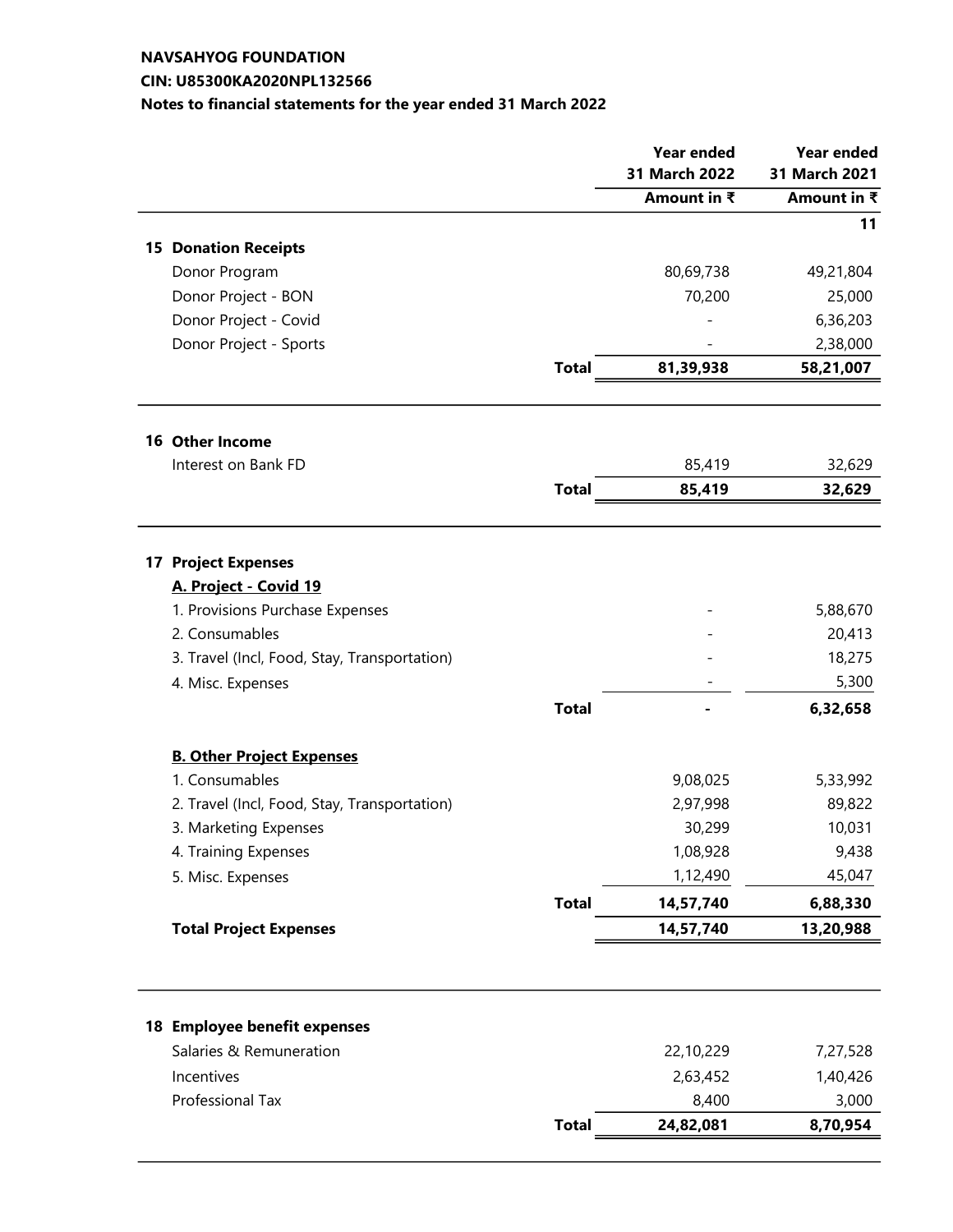# NAVSAHYOG FOUNDATION CIN: U85300KA2020NPL132566

# Notes to financial statements for the year ended 31 March 2022

|                                              |              | <b>Year ended</b> | <b>Year ended</b> |
|----------------------------------------------|--------------|-------------------|-------------------|
|                                              |              | 31 March 2022     | 31 March 2021     |
|                                              |              | Amount in ₹       | Amount in ₹       |
|                                              |              |                   | 11                |
| <b>15 Donation Receipts</b>                  |              |                   |                   |
| Donor Program                                |              | 80,69,738         | 49,21,804         |
| Donor Project - BON                          |              | 70,200            | 25,000            |
| Donor Project - Covid                        |              |                   | 6,36,203          |
| Donor Project - Sports                       |              |                   | 2,38,000          |
|                                              | <b>Total</b> | 81,39,938         | 58,21,007         |
|                                              |              |                   |                   |
| <b>16 Other Income</b>                       |              |                   |                   |
| Interest on Bank FD                          |              | 85,419            | 32,629            |
|                                              | <b>Total</b> | 85,419            | 32,629            |
|                                              |              |                   |                   |
| <b>17 Project Expenses</b>                   |              |                   |                   |
| A. Project - Covid 19                        |              |                   |                   |
| 1. Provisions Purchase Expenses              |              |                   | 5,88,670          |
| 2. Consumables                               |              |                   | 20,413            |
| 3. Travel (Incl, Food, Stay, Transportation) |              |                   | 18,275            |
| 4. Misc. Expenses                            |              |                   | 5,300             |
|                                              | <b>Total</b> |                   | 6,32,658          |
| <b>B. Other Project Expenses</b>             |              |                   |                   |
| 1. Consumables                               |              | 9,08,025          | 5,33,992          |
| 2. Travel (Incl, Food, Stay, Transportation) |              | 2,97,998          | 89,822            |
| 3. Marketing Expenses                        |              | 30,299            | 10,031            |
| 4. Training Expenses                         |              | 1,08,928          | 9,438             |
| 5. Misc. Expenses                            |              | 1,12,490          | 45,047            |
|                                              | <b>Total</b> | 14,57,740         | 6,88,330          |
| <b>Total Project Expenses</b>                |              | 14,57,740         | 13,20,988         |
|                                              |              |                   |                   |
|                                              |              |                   |                   |
| 18 Employee benefit expenses                 |              |                   |                   |
| Salaries & Remuneration                      |              | 22,10,229         | 7,27,528          |
| Incentives                                   |              | 2,63,452          | 1,40,426          |
| Professional Tax                             |              | 8,400             | 3,000             |
|                                              | <b>Total</b> | 24,82,081         | 8,70,954          |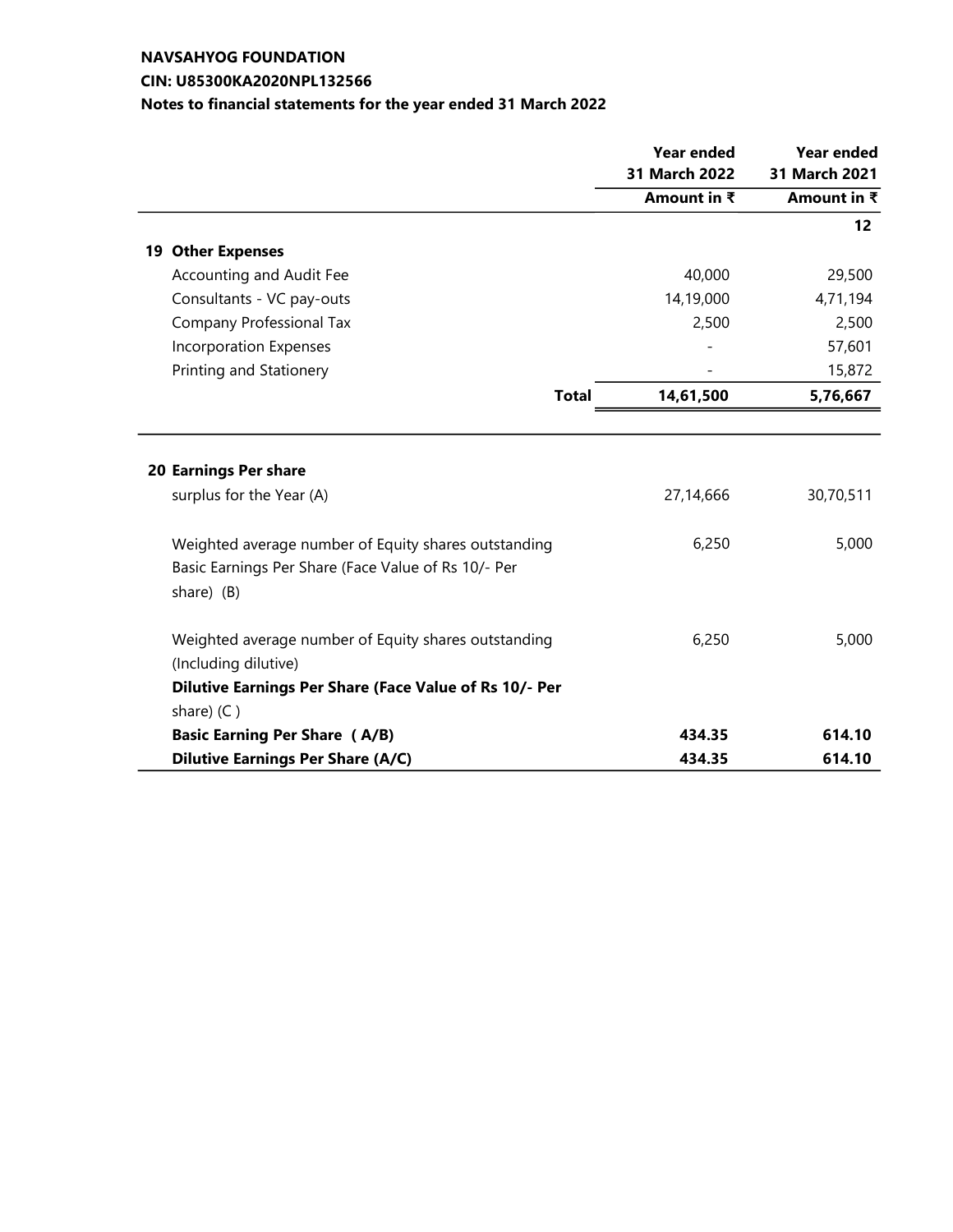# NAVSAHYOG FOUNDATION CIN: U85300KA2020NPL132566

| Notes to financial statements for the year ended 31 March 2022 |
|----------------------------------------------------------------|
|----------------------------------------------------------------|

|                                                        | <b>Year ended</b><br>31 March 2022<br>Amount in $\overline{\mathbf{z}}$ | <b>Year ended</b><br>31 March 2021<br>Amount in $\overline{\overline{\overline{\overline{}}}}$ |
|--------------------------------------------------------|-------------------------------------------------------------------------|------------------------------------------------------------------------------------------------|
|                                                        |                                                                         |                                                                                                |
|                                                        |                                                                         |                                                                                                |
|                                                        |                                                                         | 12                                                                                             |
| <b>19 Other Expenses</b>                               |                                                                         |                                                                                                |
| Accounting and Audit Fee                               | 40,000                                                                  | 29,500                                                                                         |
| Consultants - VC pay-outs                              | 14,19,000                                                               | 4,71,194                                                                                       |
| Company Professional Tax                               | 2,500                                                                   | 2,500                                                                                          |
| <b>Incorporation Expenses</b>                          |                                                                         | 57,601                                                                                         |
| Printing and Stationery                                |                                                                         | 15,872                                                                                         |
| <b>Total</b>                                           | 14,61,500                                                               | 5,76,667                                                                                       |
|                                                        |                                                                         |                                                                                                |
|                                                        |                                                                         |                                                                                                |
| 20 Earnings Per share                                  |                                                                         |                                                                                                |
| surplus for the Year (A)                               | 27,14,666                                                               | 30,70,511                                                                                      |
|                                                        |                                                                         |                                                                                                |
| Weighted average number of Equity shares outstanding   | 6,250                                                                   | 5,000                                                                                          |
| Basic Earnings Per Share (Face Value of Rs 10/- Per    |                                                                         |                                                                                                |
| share) (B)                                             |                                                                         |                                                                                                |
| Weighted average number of Equity shares outstanding   | 6,250                                                                   | 5,000                                                                                          |
| (Including dilutive)                                   |                                                                         |                                                                                                |
| Dilutive Earnings Per Share (Face Value of Rs 10/- Per |                                                                         |                                                                                                |
| share) $(C)$                                           |                                                                         |                                                                                                |
| <b>Basic Earning Per Share (A/B)</b>                   | 434.35                                                                  | 614.10                                                                                         |
| <b>Dilutive Earnings Per Share (A/C)</b>               | 434.35                                                                  | 614.10                                                                                         |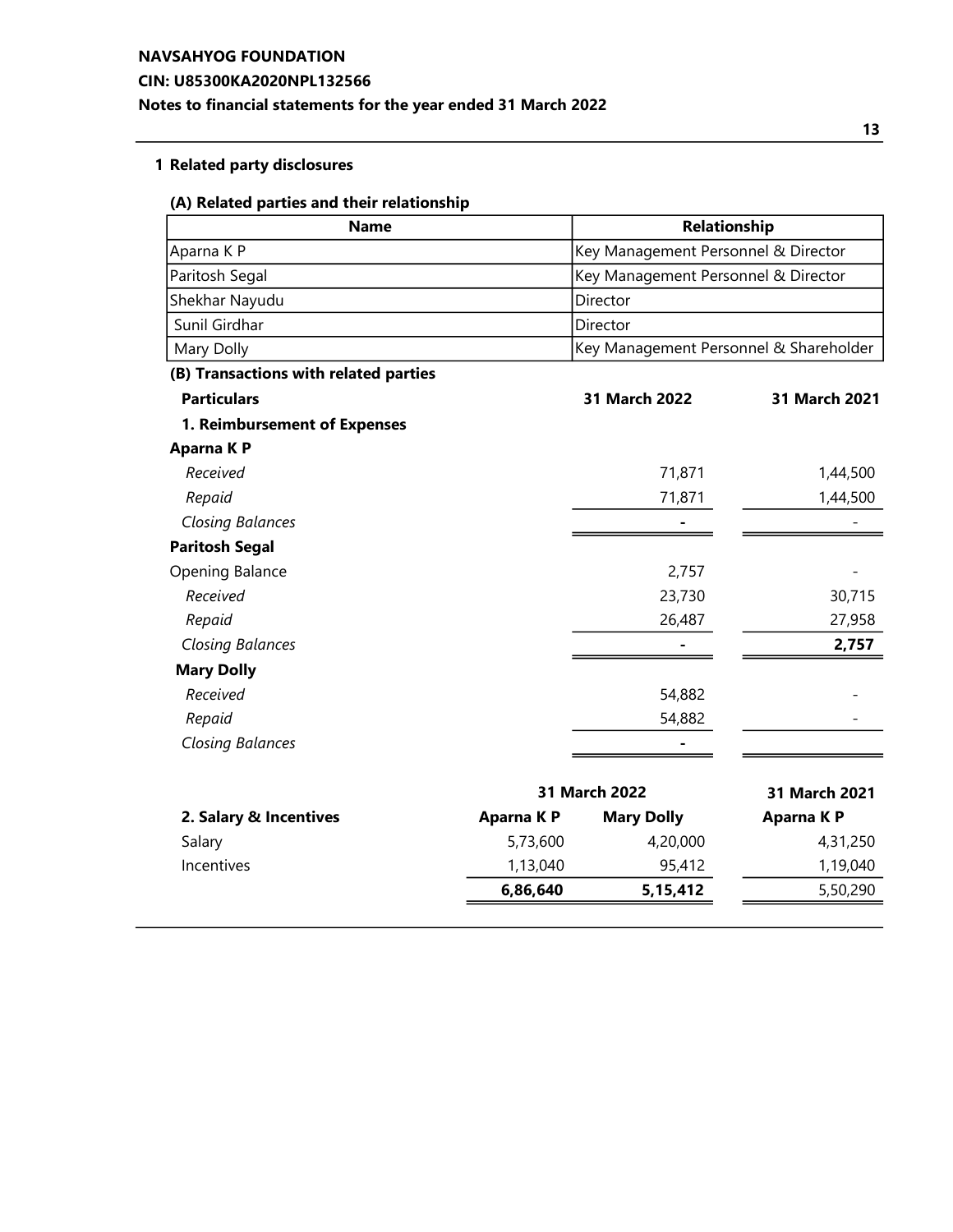### CIN: U85300KA2020NPL132566

# Notes to financial statements for the year ended 31 March 2022

# 1 Related party disclosures

#### (A) Related parties and their relationship

| <b>Name</b>                           |            | Relationship                           |                  |
|---------------------------------------|------------|----------------------------------------|------------------|
| Aparna K P                            |            | Key Management Personnel & Director    |                  |
| Paritosh Segal                        |            | Key Management Personnel & Director    |                  |
| Shekhar Nayudu                        |            | Director                               |                  |
| Sunil Girdhar                         |            | Director                               |                  |
| Mary Dolly                            |            | Key Management Personnel & Shareholder |                  |
| (B) Transactions with related parties |            |                                        |                  |
| <b>Particulars</b>                    |            | 31 March 2022                          | 31 March 2021    |
| 1. Reimbursement of Expenses          |            |                                        |                  |
| Aparna K P                            |            |                                        |                  |
| Received                              |            | 71,871                                 | 1,44,500         |
| Repaid                                |            | 71,871                                 | 1,44,500         |
| <b>Closing Balances</b>               |            |                                        |                  |
| <b>Paritosh Segal</b>                 |            |                                        |                  |
| Opening Balance                       |            | 2,757                                  |                  |
| Received                              |            | 23,730                                 | 30,715           |
| Repaid                                |            | 26,487                                 | 27,958           |
| <b>Closing Balances</b>               |            | Ξ.                                     | 2,757            |
| <b>Mary Dolly</b>                     |            |                                        |                  |
| Received                              |            | 54,882                                 |                  |
| Repaid                                |            | 54,882                                 |                  |
| <b>Closing Balances</b>               |            |                                        |                  |
| 31 March 2022                         |            | 31 March 2021                          |                  |
| 2. Salary & Incentives                | Aparna K P | <b>Mary Dolly</b>                      | <b>Aparna KP</b> |
| Salary                                | 5,73,600   | 4,20,000                               | 4,31,250         |
| Incentives                            | 1,13,040   | 95,412                                 | 1,19,040         |
|                                       | 6,86,640   | 5,15,412                               | 5,50,290         |